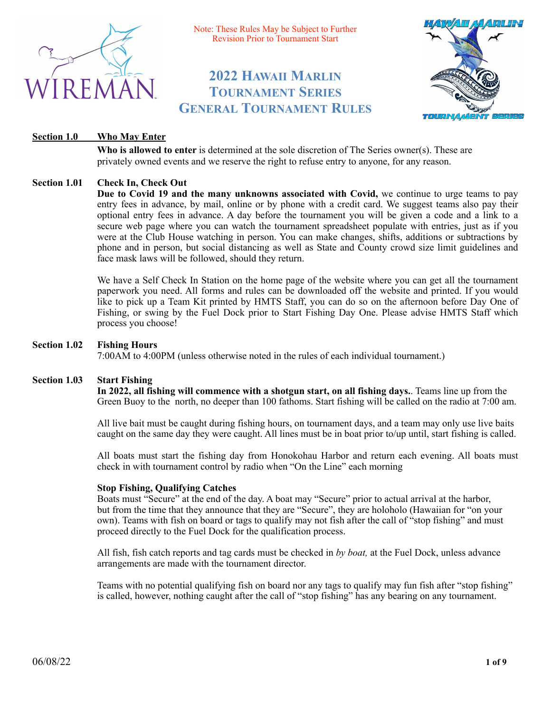

Note: These Rules May be Subject to Further Revision Prior to Tournament Start

# **2022 HAWAII MARLIN TOURNAMENT SERIES GENERAL TOURNAMENT RULES**



# **Section 1.0 Who May Enter**

**Who is allowed to enter** is determined at the sole discretion of The Series owner(s). These are privately owned events and we reserve the right to refuse entry to anyone, for any reason.

# **Section 1.01 Check In, Check Out**

**Due to Covid 19 and the many unknowns associated with Covid,** we continue to urge teams to pay entry fees in advance, by mail, online or by phone with a credit card. We suggest teams also pay their optional entry fees in advance. A day before the tournament you will be given a code and a link to a secure web page where you can watch the tournament spreadsheet populate with entries, just as if you were at the Club House watching in person. You can make changes, shifts, additions or subtractions by phone and in person, but social distancing as well as State and County crowd size limit guidelines and face mask laws will be followed, should they return.

We have a Self Check In Station on the home page of the website where you can get all the tournament paperwork you need. All forms and rules can be downloaded off the website and printed. If you would like to pick up a Team Kit printed by HMTS Staff, you can do so on the afternoon before Day One of Fishing, or swing by the Fuel Dock prior to Start Fishing Day One. Please advise HMTS Staff which process you choose!

### **Section 1.02 Fishing Hours**

7:00AM to 4:00PM (unless otherwise noted in the rules of each individual tournament.)

#### **Section 1.03 Start Fishing**

 **In 2022, all fishing will commence with a shotgun start, on all fishing days.**. Teams line up from the Green Buoy to the north, no deeper than 100 fathoms. Start fishing will be called on the radio at 7:00 am.

 All live bait must be caught during fishing hours, on tournament days, and a team may only use live baits caught on the same day they were caught. All lines must be in boat prior to/up until, start fishing is called.

All boats must start the fishing day from Honokohau Harbor and return each evening. All boats must check in with tournament control by radio when "On the Line" each morning

#### **Stop Fishing, Qualifying Catches**

 Boats must "Secure" at the end of the day. A boat may "Secure" prior to actual arrival at the harbor, but from the time that they announce that they are "Secure", they are holoholo (Hawaiian for "on your own). Teams with fish on board or tags to qualify may not fish after the call of "stop fishing" and must proceed directly to the Fuel Dock for the qualification process.

 All fish, fish catch reports and tag cards must be checked in *by boat,* at the Fuel Dock, unless advance arrangements are made with the tournament director.

 Teams with no potential qualifying fish on board nor any tags to qualify may fun fish after "stop fishing" is called, however, nothing caught after the call of "stop fishing" has any bearing on any tournament.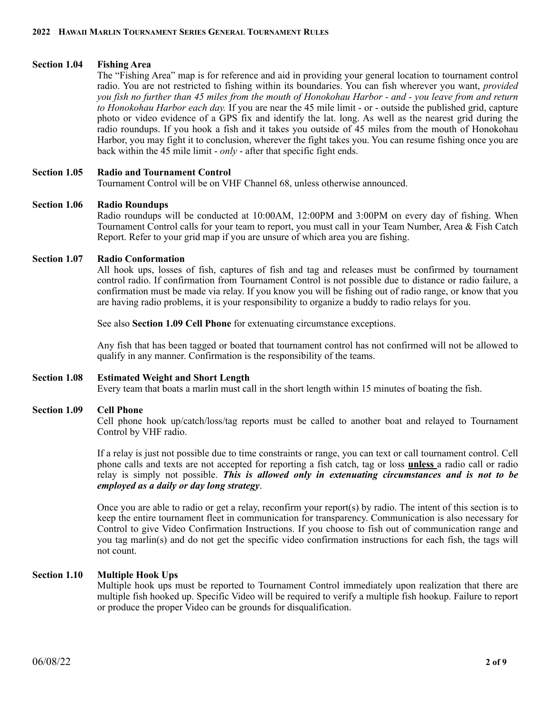### **Section 1.04 Fishing Area**

The "Fishing Area" map is for reference and aid in providing your general location to tournament control radio. You are not restricted to fishing within its boundaries. You can fish wherever you want, *provided you fish no further than 45 miles from the mouth of Honokohau Harbor - and - you leave from and return to Honokohau Harbor each day.* If you are near the 45 mile limit - or - outside the published grid, capture photo or video evidence of a GPS fix and identify the lat. long. As well as the nearest grid during the radio roundups. If you hook a fish and it takes you outside of 45 miles from the mouth of Honokohau Harbor, you may fight it to conclusion, wherever the fight takes you. You can resume fishing once you are back within the 45 mile limit - *only* - after that specific fight ends.

#### **Section 1.05 Radio and Tournament Control**

Tournament Control will be on VHF Channel 68, unless otherwise announced.

#### **Section 1.06 Radio Roundups**

Radio roundups will be conducted at 10:00AM, 12:00PM and 3:00PM on every day of fishing. When Tournament Control calls for your team to report, you must call in your Team Number, Area & Fish Catch Report. Refer to your grid map if you are unsure of which area you are fishing.

#### **Section 1.07 Radio Conformation**

All hook ups, losses of fish, captures of fish and tag and releases must be confirmed by tournament control radio. If confirmation from Tournament Control is not possible due to distance or radio failure, a confirmation must be made via relay. If you know you will be fishing out of radio range, or know that you are having radio problems, it is your responsibility to organize a buddy to radio relays for you.

See also **Section 1.09 Cell Phone** for extenuating circumstance exceptions.

Any fish that has been tagged or boated that tournament control has not confirmed will not be allowed to qualify in any manner. Confirmation is the responsibility of the teams.

#### **Section 1.08 Estimated Weight and Short Length**

Every team that boats a marlin must call in the short length within 15 minutes of boating the fish.

#### **Section 1.09 Cell Phone**

Cell phone hook up/catch/loss/tag reports must be called to another boat and relayed to Tournament Control by VHF radio.

If a relay is just not possible due to time constraints or range, you can text or call tournament control. Cell phone calls and texts are not accepted for reporting a fish catch, tag or loss **unless** a radio call or radio relay is simply not possible. *This is allowed only in extenuating circumstances and is not to be employed as a daily or day long strategy*.

Once you are able to radio or get a relay, reconfirm your report(s) by radio. The intent of this section is to keep the entire tournament fleet in communication for transparency. Communication is also necessary for Control to give Video Confirmation Instructions. If you choose to fish out of communication range and you tag marlin(s) and do not get the specific video confirmation instructions for each fish, the tags will not count.

#### **Section 1.10 Multiple Hook Ups**

Multiple hook ups must be reported to Tournament Control immediately upon realization that there are multiple fish hooked up. Specific Video will be required to verify a multiple fish hookup. Failure to report or produce the proper Video can be grounds for disqualification.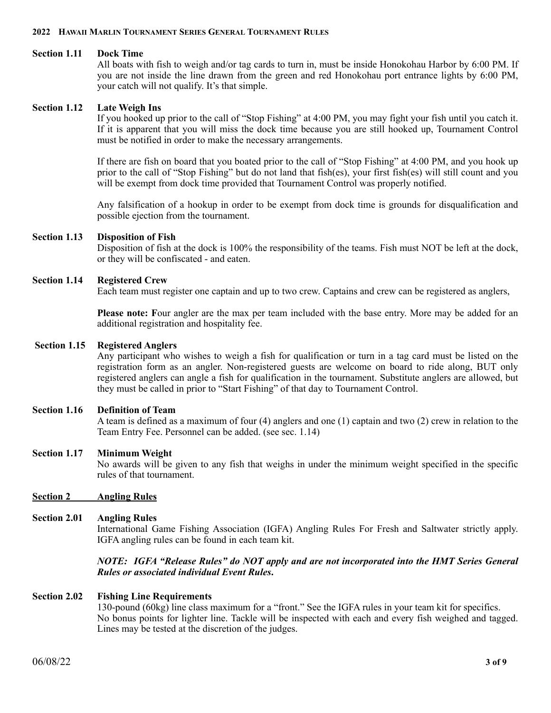#### **Section 1.11 Dock Time**

All boats with fish to weigh and/or tag cards to turn in, must be inside Honokohau Harbor by 6:00 PM. If you are not inside the line drawn from the green and red Honokohau port entrance lights by 6:00 PM, your catch will not qualify. It's that simple.

#### **Section 1.12 Late Weigh Ins**

If you hooked up prior to the call of "Stop Fishing" at 4:00 PM, you may fight your fish until you catch it. If it is apparent that you will miss the dock time because you are still hooked up, Tournament Control must be notified in order to make the necessary arrangements.

If there are fish on board that you boated prior to the call of "Stop Fishing" at 4:00 PM, and you hook up prior to the call of "Stop Fishing" but do not land that fish(es), your first fish(es) will still count and you will be exempt from dock time provided that Tournament Control was properly notified.

Any falsification of a hookup in order to be exempt from dock time is grounds for disqualification and possible ejection from the tournament.

#### **Section 1.13 Disposition of Fish**

Disposition of fish at the dock is 100% the responsibility of the teams. Fish must NOT be left at the dock, or they will be confiscated - and eaten.

### **Section 1.14 Registered Crew**

Each team must register one captain and up to two crew. Captains and crew can be registered as anglers,

**Please note: F**our angler are the max per team included with the base entry. More may be added for an additional registration and hospitality fee.

#### **Section 1.15 Registered Anglers**

Any participant who wishes to weigh a fish for qualification or turn in a tag card must be listed on the registration form as an angler. Non-registered guests are welcome on board to ride along, BUT only registered anglers can angle a fish for qualification in the tournament. Substitute anglers are allowed, but they must be called in prior to "Start Fishing" of that day to Tournament Control.

#### **Section 1.16 Definition of Team**

A team is defined as a maximum of four (4) anglers and one (1) captain and two (2) crew in relation to the Team Entry Fee. Personnel can be added. (see sec. 1.14)

#### **Section 1.17 Minimum Weight**

No awards will be given to any fish that weighs in under the minimum weight specified in the specific rules of that tournament.

#### **Section 2 Angling Rules**

#### **Section 2.01 Angling Rules**

International Game Fishing Association (IGFA) Angling Rules For Fresh and Saltwater strictly apply. IGFA angling rules can be found in each team kit.

### *NOTE: IGFA "Release Rules" do NOT apply and are not incorporated into the HMT Series General Rules or associated individual Event Rules***.**

#### **Section 2.02 Fishing Line Requirements**

130-pound (60kg) line class maximum for a "front." See the IGFA rules in your team kit for specifics. No bonus points for lighter line. Tackle will be inspected with each and every fish weighed and tagged. Lines may be tested at the discretion of the judges.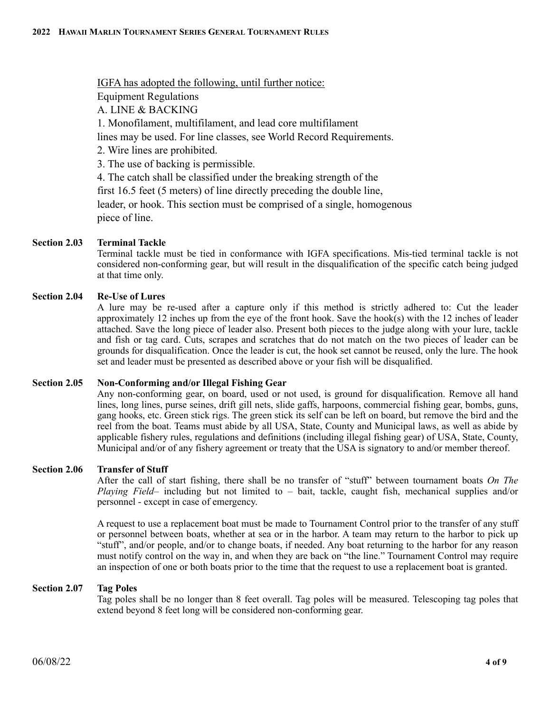IGFA has adopted the following, until further notice:

Equipment Regulations

A. LINE & BACKING

1. Monofilament, multifilament, and lead core multifilament

lines may be used. For line classes, see World Record Requirements.

2. Wire lines are prohibited.

3. The use of backing is permissible.

4. The catch shall be classified under the breaking strength of the

first 16.5 feet (5 meters) of line directly preceding the double line,

leader, or hook. This section must be comprised of a single, homogenous piece of line.

# **Section 2.03 Terminal Tackle**

Terminal tackle must be tied in conformance with IGFA specifications. Mis-tied terminal tackle is not considered non-conforming gear, but will result in the disqualification of the specific catch being judged at that time only.

# **Section 2.04 Re-Use of Lures**

A lure may be re-used after a capture only if this method is strictly adhered to: Cut the leader approximately 12 inches up from the eye of the front hook. Save the hook(s) with the 12 inches of leader attached. Save the long piece of leader also. Present both pieces to the judge along with your lure, tackle and fish or tag card. Cuts, scrapes and scratches that do not match on the two pieces of leader can be grounds for disqualification. Once the leader is cut, the hook set cannot be reused, only the lure. The hook set and leader must be presented as described above or your fish will be disqualified.

# **Section 2.05 Non-Conforming and/or Illegal Fishing Gear**

Any non-conforming gear, on board, used or not used, is ground for disqualification. Remove all hand lines, long lines, purse seines, drift gill nets, slide gaffs, harpoons, commercial fishing gear, bombs, guns, gang hooks, etc. Green stick rigs. The green stick its self can be left on board, but remove the bird and the reel from the boat. Teams must abide by all USA, State, County and Municipal laws, as well as abide by applicable fishery rules, regulations and definitions (including illegal fishing gear) of USA, State, County, Municipal and/or of any fishery agreement or treaty that the USA is signatory to and/or member thereof.

# **Section 2.06 Transfer of Stuff**

After the call of start fishing, there shall be no transfer of "stuff" between tournament boats *On The Playing Field*– including but not limited to – bait, tackle, caught fish, mechanical supplies and/or personnel - except in case of emergency.

A request to use a replacement boat must be made to Tournament Control prior to the transfer of any stuff or personnel between boats, whether at sea or in the harbor. A team may return to the harbor to pick up "stuff", and/or people, and/or to change boats, if needed. Any boat returning to the harbor for any reason must notify control on the way in, and when they are back on "the line." Tournament Control may require an inspection of one or both boats prior to the time that the request to use a replacement boat is granted.

#### **Section 2.07 Tag Poles**

Tag poles shall be no longer than 8 feet overall. Tag poles will be measured. Telescoping tag poles that extend beyond 8 feet long will be considered non-conforming gear.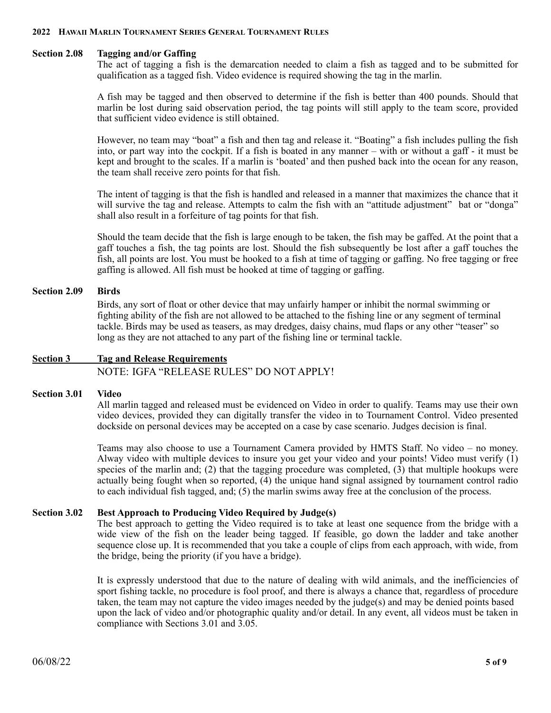#### **Section 2.08 Tagging and/or Gaffing**

The act of tagging a fish is the demarcation needed to claim a fish as tagged and to be submitted for qualification as a tagged fish. Video evidence is required showing the tag in the marlin.

A fish may be tagged and then observed to determine if the fish is better than 400 pounds. Should that marlin be lost during said observation period, the tag points will still apply to the team score, provided that sufficient video evidence is still obtained.

However, no team may "boat" a fish and then tag and release it. "Boating" a fish includes pulling the fish into, or part way into the cockpit. If a fish is boated in any manner – with or without a gaff - it must be kept and brought to the scales. If a marlin is 'boated' and then pushed back into the ocean for any reason, the team shall receive zero points for that fish.

The intent of tagging is that the fish is handled and released in a manner that maximizes the chance that it will survive the tag and release. Attempts to calm the fish with an "attitude adjustment" bat or "donga" shall also result in a forfeiture of tag points for that fish.

Should the team decide that the fish is large enough to be taken, the fish may be gaffed. At the point that a gaff touches a fish, the tag points are lost. Should the fish subsequently be lost after a gaff touches the fish, all points are lost. You must be hooked to a fish at time of tagging or gaffing. No free tagging or free gaffing is allowed. All fish must be hooked at time of tagging or gaffing.

#### **Section 2.09 Birds**

 Birds, any sort of float or other device that may unfairly hamper or inhibit the normal swimming or fighting ability of the fish are not allowed to be attached to the fishing line or any segment of terminal tackle. Birds may be used as teasers, as may dredges, daisy chains, mud flaps or any other "teaser" so long as they are not attached to any part of the fishing line or terminal tackle.

# **Section 3 Tag and Release Requirements**  NOTE: IGFA "RELEASE RULES" DO NOT APPLY!

#### **Section 3.01 Video**

All marlin tagged and released must be evidenced on Video in order to qualify. Teams may use their own video devices, provided they can digitally transfer the video in to Tournament Control. Video presented dockside on personal devices may be accepted on a case by case scenario. Judges decision is final.

Teams may also choose to use a Tournament Camera provided by HMTS Staff. No video – no money. Alway video with multiple devices to insure you get your video and your points! Video must verify (1) species of the marlin and; (2) that the tagging procedure was completed, (3) that multiple hookups were actually being fought when so reported, (4) the unique hand signal assigned by tournament control radio to each individual fish tagged, and; (5) the marlin swims away free at the conclusion of the process.

# **Section 3.02 Best Approach to Producing Video Required by Judge(s)**

The best approach to getting the Video required is to take at least one sequence from the bridge with a wide view of the fish on the leader being tagged. If feasible, go down the ladder and take another sequence close up. It is recommended that you take a couple of clips from each approach, with wide, from the bridge, being the priority (if you have a bridge).

It is expressly understood that due to the nature of dealing with wild animals, and the inefficiencies of sport fishing tackle, no procedure is fool proof, and there is always a chance that, regardless of procedure taken, the team may not capture the video images needed by the judge(s) and may be denied points based upon the lack of video and/or photographic quality and/or detail. In any event, all videos must be taken in compliance with Sections 3.01 and 3.05.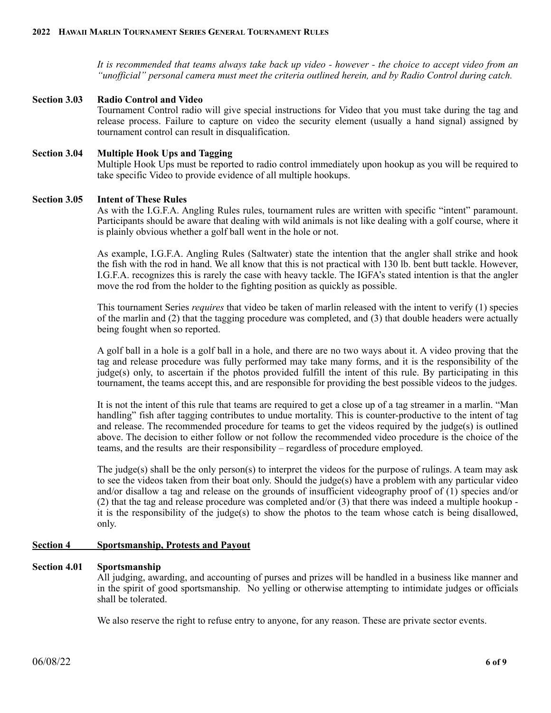*It is recommended that teams always take back up video - however - the choice to accept video from an "unofficial" personal camera must meet the criteria outlined herein, and by Radio Control during catch.* 

#### **Section 3.03 Radio Control and Video** Tournament Control radio will give special instructions for Video that you must take during the tag and release process. Failure to capture on video the security element (usually a hand signal) assigned by tournament control can result in disqualification.

# **Section 3.04 Multiple Hook Ups and Tagging**

Multiple Hook Ups must be reported to radio control immediately upon hookup as you will be required to take specific Video to provide evidence of all multiple hookups.

### **Section 3.05 Intent of These Rules**

As with the I.G.F.A. Angling Rules rules, tournament rules are written with specific "intent" paramount. Participants should be aware that dealing with wild animals is not like dealing with a golf course, where it is plainly obvious whether a golf ball went in the hole or not.

As example, I.G.F.A. Angling Rules (Saltwater) state the intention that the angler shall strike and hook the fish with the rod in hand. We all know that this is not practical with 130 lb. bent butt tackle. However, I.G.F.A. recognizes this is rarely the case with heavy tackle. The IGFA's stated intention is that the angler move the rod from the holder to the fighting position as quickly as possible.

This tournament Series *requires* that video be taken of marlin released with the intent to verify (1) species of the marlin and (2) that the tagging procedure was completed, and (3) that double headers were actually being fought when so reported.

A golf ball in a hole is a golf ball in a hole, and there are no two ways about it. A video proving that the tag and release procedure was fully performed may take many forms, and it is the responsibility of the judge(s) only, to ascertain if the photos provided fulfill the intent of this rule. By participating in this tournament, the teams accept this, and are responsible for providing the best possible videos to the judges.

It is not the intent of this rule that teams are required to get a close up of a tag streamer in a marlin. "Man handling" fish after tagging contributes to undue mortality. This is counter-productive to the intent of tag and release. The recommended procedure for teams to get the videos required by the judge(s) is outlined above. The decision to either follow or not follow the recommended video procedure is the choice of the teams, and the results are their responsibility – regardless of procedure employed.

The judge(s) shall be the only person(s) to interpret the videos for the purpose of rulings. A team may ask to see the videos taken from their boat only. Should the judge(s) have a problem with any particular video and/or disallow a tag and release on the grounds of insufficient videography proof of (1) species and/or (2) that the tag and release procedure was completed and/or (3) that there was indeed a multiple hookup it is the responsibility of the judge(s) to show the photos to the team whose catch is being disallowed, only.

# **Section 4 Sportsmanship, Protests and Payout**

#### **Section 4.01 Sportsmanship**

All judging, awarding, and accounting of purses and prizes will be handled in a business like manner and in the spirit of good sportsmanship. No yelling or otherwise attempting to intimidate judges or officials shall be tolerated.

We also reserve the right to refuse entry to anyone, for any reason. These are private sector events.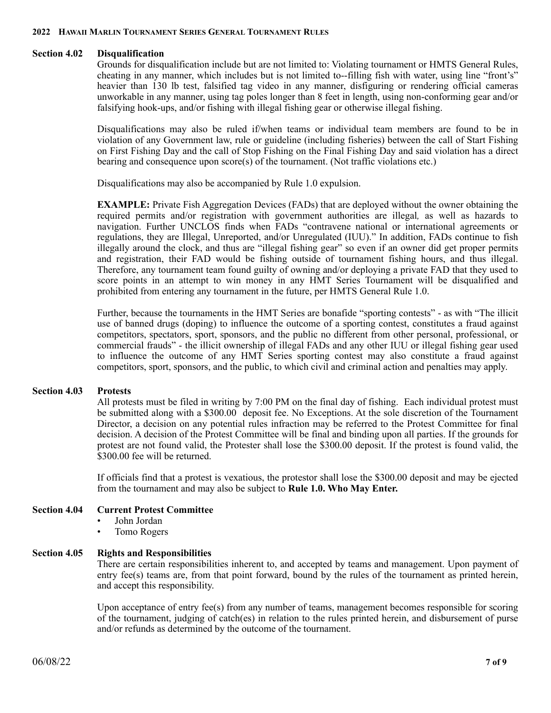#### **Section 4.02 Disqualification**

Grounds for disqualification include but are not limited to: Violating tournament or HMTS General Rules, cheating in any manner, which includes but is not limited to--filling fish with water, using line "front's" heavier than 130 lb test, falsified tag video in any manner, disfiguring or rendering official cameras unworkable in any manner, using tag poles longer than 8 feet in length, using non-conforming gear and/or falsifying hook-ups, and/or fishing with illegal fishing gear or otherwise illegal fishing.

Disqualifications may also be ruled if/when teams or individual team members are found to be in violation of any Government law, rule or guideline (including fisheries) between the call of Start Fishing on First Fishing Day and the call of Stop Fishing on the Final Fishing Day and said violation has a direct bearing and consequence upon score(s) of the tournament. (Not traffic violations etc.)

Disqualifications may also be accompanied by Rule 1.0 expulsion.

**EXAMPLE:** Private Fish Aggregation Devices (FADs) that are deployed without the owner obtaining the required permits and/or registration with government authorities are illegal*,* as well as hazards to navigation. Further UNCLOS finds when FADs "contravene national or international agreements or regulations, they are Illegal, Unreported, and/or Unregulated (IUU)." In addition, FADs continue to fish illegally around the clock, and thus are "illegal fishing gear" so even if an owner did get proper permits and registration, their FAD would be fishing outside of tournament fishing hours, and thus illegal. Therefore, any tournament team found guilty of owning and/or deploying a private FAD that they used to score points in an attempt to win money in any HMT Series Tournament will be disqualified and prohibited from entering any tournament in the future, per HMTS General Rule 1.0.

Further, because the tournaments in the HMT Series are bonafide "sporting contests" - as with "The illicit use of banned drugs (doping) to influence the outcome of a sporting contest, constitutes a fraud against competitors, spectators, sport, sponsors, and the public no different from other personal, professional, or commercial frauds" - the illicit ownership of illegal FADs and any other IUU or illegal fishing gear used to influence the outcome of any HMT Series sporting contest may also constitute a fraud against competitors, sport, sponsors, and the public, to which civil and criminal action and penalties may apply.

#### **Section 4.03 Protests**

All protests must be filed in writing by 7:00 PM on the final day of fishing. Each individual protest must be submitted along with a \$300.00 deposit fee. No Exceptions. At the sole discretion of the Tournament Director, a decision on any potential rules infraction may be referred to the Protest Committee for final decision. A decision of the Protest Committee will be final and binding upon all parties. If the grounds for protest are not found valid, the Protester shall lose the \$300.00 deposit. If the protest is found valid, the \$300.00 fee will be returned.

If officials find that a protest is vexatious, the protestor shall lose the \$300.00 deposit and may be ejected from the tournament and may also be subject to **Rule 1.0. Who May Enter.**

# **Section 4.04 Current Protest Committee**

- John Jordan
- Tomo Rogers

# **Section 4.05 Rights and Responsibilities**

There are certain responsibilities inherent to, and accepted by teams and management. Upon payment of entry fee(s) teams are, from that point forward, bound by the rules of the tournament as printed herein, and accept this responsibility.

Upon acceptance of entry fee(s) from any number of teams, management becomes responsible for scoring of the tournament, judging of catch(es) in relation to the rules printed herein, and disbursement of purse and/or refunds as determined by the outcome of the tournament.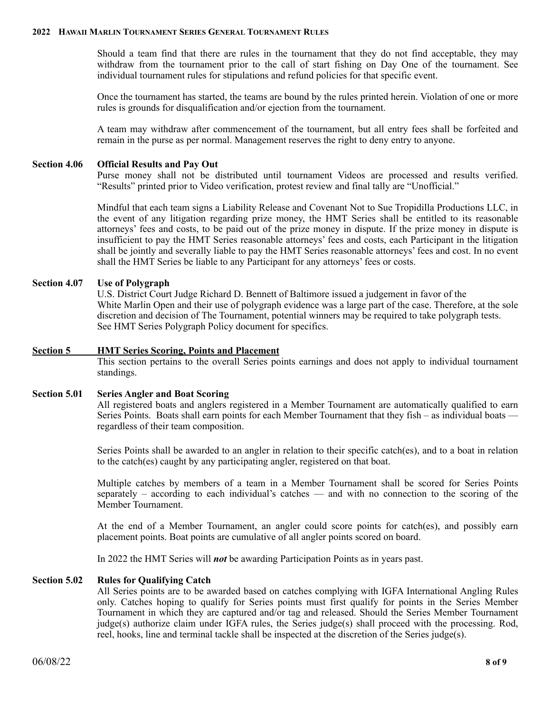Should a team find that there are rules in the tournament that they do not find acceptable, they may withdraw from the tournament prior to the call of start fishing on Day One of the tournament. See individual tournament rules for stipulations and refund policies for that specific event.

Once the tournament has started, the teams are bound by the rules printed herein. Violation of one or more rules is grounds for disqualification and/or ejection from the tournament.

A team may withdraw after commencement of the tournament, but all entry fees shall be forfeited and remain in the purse as per normal. Management reserves the right to deny entry to anyone.

### **Section 4.06 Official Results and Pay Out**

Purse money shall not be distributed until tournament Videos are processed and results verified. "Results" printed prior to Video verification, protest review and final tally are "Unofficial."

Mindful that each team signs a Liability Release and Covenant Not to Sue Tropidilla Productions LLC, in the event of any litigation regarding prize money, the HMT Series shall be entitled to its reasonable attorneys' fees and costs, to be paid out of the prize money in dispute. If the prize money in dispute is insufficient to pay the HMT Series reasonable attorneys' fees and costs, each Participant in the litigation shall be jointly and severally liable to pay the HMT Series reasonable attorneys' fees and cost. In no event shall the HMT Series be liable to any Participant for any attorneys' fees or costs.

### **Section 4.07 Use of Polygraph**

 U.S. District Court Judge Richard D. Bennett of Baltimore issued a judgement in favor of the White Marlin Open and their use of polygraph evidence was a large part of the case. Therefore, at the sole discretion and decision of The Tournament, potential winners may be required to take polygraph tests. See HMT Series Polygraph Policy document for specifics.

#### **Section 5 HMT Series Scoring, Points and Placement**

This section pertains to the overall Series points earnings and does not apply to individual tournament standings.

#### **Section 5.01 Series Angler and Boat Scoring**

All registered boats and anglers registered in a Member Tournament are automatically qualified to earn Series Points. Boats shall earn points for each Member Tournament that they fish – as individual boats regardless of their team composition.

Series Points shall be awarded to an angler in relation to their specific catch(es), and to a boat in relation to the catch(es) caught by any participating angler, registered on that boat.

Multiple catches by members of a team in a Member Tournament shall be scored for Series Points separately – according to each individual's catches — and with no connection to the scoring of the Member Tournament.

At the end of a Member Tournament, an angler could score points for catch(es), and possibly earn placement points. Boat points are cumulative of all angler points scored on board.

In 2022 the HMT Series will *not* be awarding Participation Points as in years past.

#### **Section 5.02 Rules for Qualifying Catch**

All Series points are to be awarded based on catches complying with IGFA International Angling Rules only. Catches hoping to qualify for Series points must first qualify for points in the Series Member Tournament in which they are captured and/or tag and released. Should the Series Member Tournament judge(s) authorize claim under IGFA rules, the Series judge(s) shall proceed with the processing. Rod, reel, hooks, line and terminal tackle shall be inspected at the discretion of the Series judge(s).